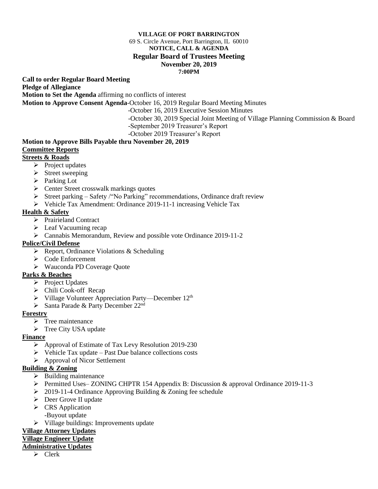#### **VILLAGE OF PORT BARRINGTON**

#### 69 S. Circle Avenue, Port Barrington, IL 60010 **NOTICE, CALL & AGENDA Regular Board of Trustees Meeting November 20, 2019**

#### **7:00PM**

**Call to order Regular Board Meeting** 

**Pledge of Allegiance**

**Motion to Set the Agenda** affirming no conflicts of interest

**Motion to Approve Consent Agenda**-October 16, 2019 Regular Board Meeting Minutes

-October 16, 2019 Executive Session Minutes

-October 30, 2019 Special Joint Meeting of Village Planning Commission & Board

-September 2019 Treasurer's Report

-October 2019 Treasurer's Report

# **Motion to Approve Bills Payable thru November 20, 2019 Committee Reports**

# **Streets & Roads**

- $\triangleright$  Project updates
- ➢ Street sweeping
- ➢ Parking Lot
- $\triangleright$  Center Street crosswalk markings quotes
- ➢ Street parking Safety /"No Parking" recommendations, Ordinance draft review
- ➢ Vehicle Tax Amendment: Ordinance 2019-11-1 increasing Vehicle Tax

## **Health & Safety**

- ➢ Prairieland Contract
- ➢ Leaf Vacuuming recap
- ➢ Cannabis Memorandum, Review and possible vote Ordinance 2019-11-2

#### **Police/Civil Defense**

- ➢ Report, Ordinance Violations & Scheduling
- ➢ Code Enforcement
- ➢ Wauconda PD Coverage Quote

# **Parks & Beaches**

- ➢ Project Updates
- ➢ Chili Cook-off Recap
- $\triangleright$  Village Volunteer Appreciation Party—December 12<sup>th</sup>
- ➢ Santa Parade & Party December 22nd

## **Forestry**

- $\triangleright$  Tree maintenance
- ➢ Tree City USA update

#### **Finance**

- ➢ Approval of Estimate of Tax Levy Resolution 2019-230
- $\triangleright$  Vehicle Tax update Past Due balance collections costs
- ➢ Approval of Nicor Settlement

# **Building & Zoning**

- $\triangleright$  Building maintenance
- ➢ Permitted Uses– ZONING CHPTR 154 Appendix B: Discussion & approval Ordinance 2019-11-3
- ➢ 2019-11-4 Ordinance Approving Building & Zoning fee schedule
- ➢ Deer Grove II update
- ➢ CRS Application -Buyout update
- ➢ Village buildings: Improvements update

## **Village Attorney Updates**

## **Village Engineer Update**

#### **Administrative Updates**

➢ Clerk